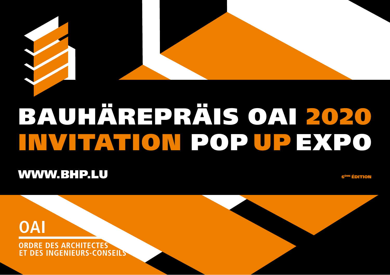

# BAUHÄREPRÄIS OAI 2020 INVITATION POPUPEXPO

## **WWW.BHP.LU**

<sup>ÈME</sup> ÉDITION

**OAI** 

**ORDRE DES ARCHITECTES DES INGENIEURS-CONSEILS**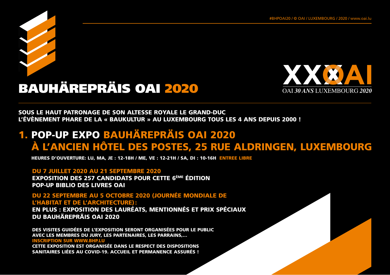



## BAUHÄREPRÄIS OAI 2020 OAI *30 ANS* LUXEMBOURG *<sup>2020</sup>*

SOUS LE HAUT PATRONAGE DE SON ALTESSE ROYALE LE GRAND-DUC L'ÉVÈNEMENT PHARE DE LA « BAUKULTUR » AU LUXEMBOURG TOUS LES 4 ANS DEPUIS 2000 !

## 1. POP-UP EXPO BAUHÄREPRÄIS OAI 2020 À L'ANCIEN HÔTEL DES POSTES, 25 RUE ALDRINGEN, LUXEMBOURG

HEURES D'OUVERTURE: LU, MA, JE : 12-18H / ME, VE : 12-21H / SA, DI : 10-16H ENTREE LIBRE

#### DU 7 JUILLET 2020 AU 21 SEPTEMBRE 2020

EXPOSITION DES 257 CANDIDATS POUR CETTE 6ÈME ÉDITION POP-UP BIBLIO DES LIVRES OAI

DU 22 SEPTEMBRE AU 5 OCTOBRE 2020 (JOURNÉE MONDIALE DE L'HABITAT ET DE L'ARCHITECTURE):

EN PLUS : EXPOSITION DES LAURÉATS, MENTIONNÉS ET PRIX SPÉCIAUX DU BAUHÄREPRÄIS OAI 2020

DES VISITES GUIDÉES DE L'EXPOSITION SERONT ORGANISÉES POUR LE PUBLIC AVEC LES MEMBRES DU JURY, LES PARTENAIRES, LES PARRAINS,… INSCRIPTION SUR WWW.BHP.LU CETTE EXPOSITION EST ORGANISÉE DANS LE RESPECT DES DISPOSITIONS

SANITAIRES LIÉES AU COVID-19. ACCUEIL ET PERMANENCE ASSURÉS !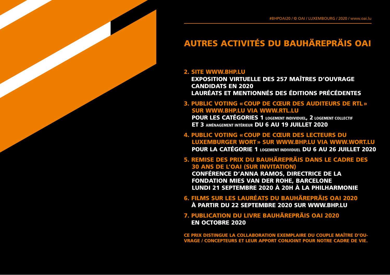### AUTRES ACTIVITÉS DU BAUHÄREPRÄIS OAI

#### 2. SITE WWW.BHP.LU

EXPOSITION VIRTUELLE DES 257 MAÎTRES D'OUVRAGE CANDIDATS EN 2020 LAURÉATS ET MENTIONNÉS DES ÉDITIONS PRÉCÉDENTES

#### 3. PUBLIC VOTING «COUP DE CŒUR DES AUDITEURS DE RTL» SUR WWW.BHP.LU VIA WWW.RTL.LU

POUR LES CATÉGORIES 1 LOGEMENT INDIVIDUEL, 2 LOGEMENT COLLECTIF ET 3 AMÉNAGEMENT INTÉRIEUR DU 6 AU 19 JUILLET 2020

4. PUBLIC VOTING «COUP DE CŒUR DES LECTEURS DU LUXEMBURGER WORT» SUR WWW.BHP.LU VIA WWW.WORT.LU POUR LA CATÉGORIE 1 LOGEMENT INDIVIDUEL DU 6 AU 26 JUILLET 2020

5. REMISE DES PRIX DU BAUHÄREPRÄIS DANS LE CADRE DES 30 ANS DE L'OAI (SUR INVITATION) CONFÉRENCE D'ANNA RAMOS, DIRECTRICE DE LA

FONDATION MIES VAN DER ROHE, BARCELONE LUNDI 21 SEPTEMBRE 2020 À 20H À LA PHILHARMONIE

6. FILMS SUR LES LAURÉATS DU BAUHÄREPRÄIS OAI 2020 À PARTIR DU 22 SEPTEMBRE 2020 SUR WWW.BHP.LU

7. PUBLICATION DU LIVRE BAUHÄREPRÄIS OAI 2020 EN OCTOBRE 2020

CE PRIX DISTINGUE LA COLLABORATION EXEMPLAIRE DU COUPLE MAÎTRE D'OU-VRAGE / CONCEPTEURS ET LEUR APPORT CONJOINT POUR NOTRE CADRE DE VIE.